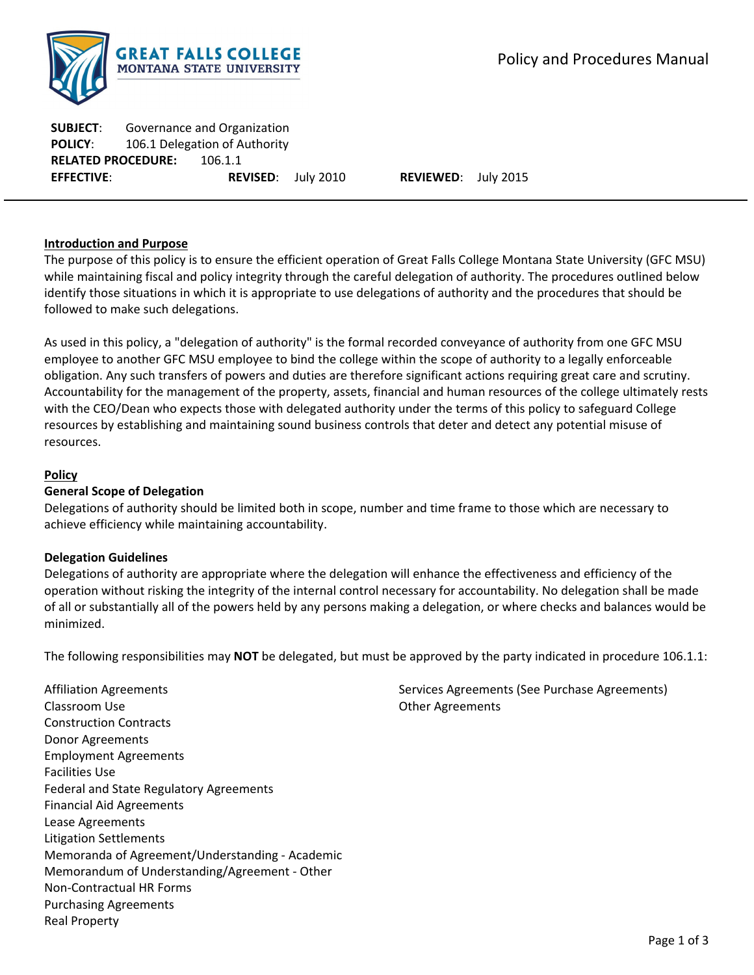

**SUBJECT**: Governance and Organization **POLICY**: 106.1 Delegation of Authority **RELATED PROCEDURE:** 106.1.1 **EFFECTIVE**: **REVISED**: July 2010 **REVIEWED**: July 2015

### **Introduction and Purpose**

The purpose of this policy is to ensure the efficient operation of Great Falls College Montana State University (GFC MSU) while maintaining fiscal and policy integrity through the careful delegation of authority. The procedures outlined below identify those situations in which it is appropriate to use delegations of authority and the procedures that should be followed to make such delegations.

As used in this policy, a "delegation of authority" is the formal recorded conveyance of authority from one GFC MSU employee to another GFC MSU employee to bind the college within the scope of authority to a legally enforceable obligation. Any such transfers of powers and duties are therefore significant actions requiring great care and scrutiny. Accountability for the management of the property, assets, financial and human resources of the college ultimately rests with the CEO/Dean who expects those with delegated authority under the terms of this policy to safeguard College resources by establishing and maintaining sound business controls that deter and detect any potential misuse of resources.

# **Policy**

## **General Scope of Delegation**

Delegations of authority should be limited both in scope, number and time frame to those which are necessary to achieve efficiency while maintaining accountability.

### **Delegation Guidelines**

Delegations of authority are appropriate where the delegation will enhance the effectiveness and efficiency of the operation without risking the integrity of the internal control necessary for accountability. No delegation shall be made of all or substantially all of the powers held by any persons making a delegation, or where checks and balances would be minimized.

The following responsibilities may **NOT** be delegated, but must be approved by the party indicated in procedure 106.1.1:

Affiliation Agreements Classroom Use Construction Contracts Donor Agreements Employment Agreements Facilities Use Federal and State Regulatory Agreements Financial Aid Agreements Lease Agreements Litigation Settlements Memoranda of Agreement/Understanding ‐ Academic Memorandum of Understanding/Agreement ‐ Other Non‐Contractual HR Forms Purchasing Agreements Real Property

Services Agreements (See Purchase Agreements) Other Agreements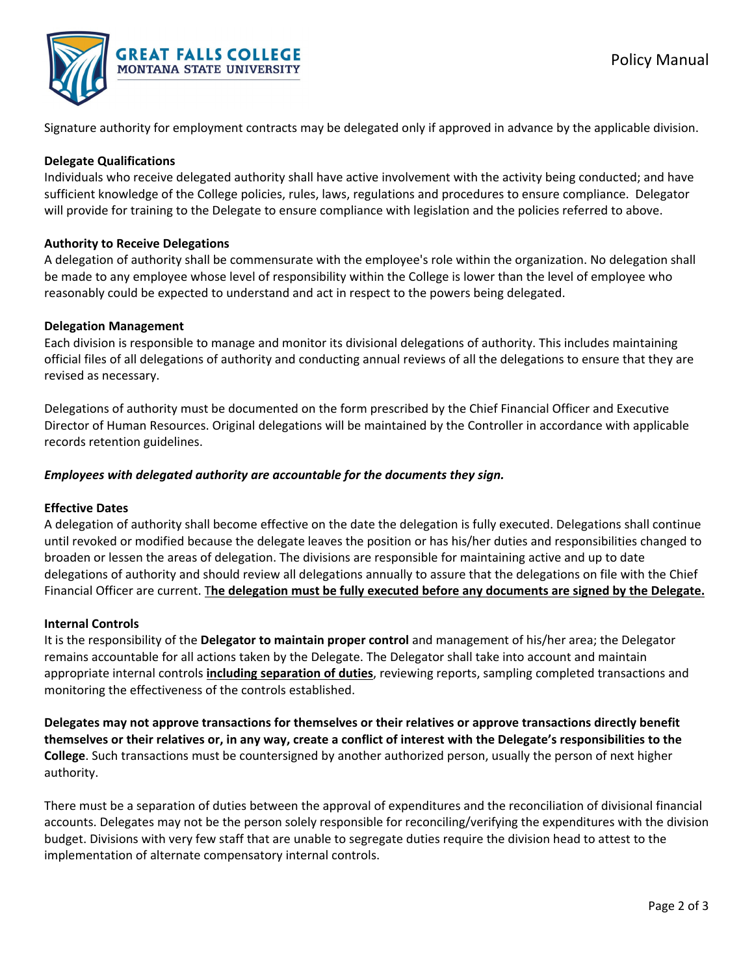

Signature authority for employment contracts may be delegated only if approved in advance by the applicable division.

## **Delegate Qualifications**

Individuals who receive delegated authority shall have active involvement with the activity being conducted; and have sufficient knowledge of the College policies, rules, laws, regulations and procedures to ensure compliance. Delegator will provide for training to the Delegate to ensure compliance with legislation and the policies referred to above.

# **Authority to Receive Delegations**

A delegation of authority shall be commensurate with the employee's role within the organization. No delegation shall be made to any employee whose level of responsibility within the College is lower than the level of employee who reasonably could be expected to understand and act in respect to the powers being delegated.

# **Delegation Management**

Each division is responsible to manage and monitor its divisional delegations of authority. This includes maintaining official files of all delegations of authority and conducting annual reviews of all the delegations to ensure that they are revised as necessary.

Delegations of authority must be documented on the form prescribed by the Chief Financial Officer and Executive Director of Human Resources. Original delegations will be maintained by the Controller in accordance with applicable records retention guidelines.

# *Employees with delegated authority are accountable for the documents they sign.*

### **Effective Dates**

A delegation of authority shall become effective on the date the delegation is fully executed. Delegations shall continue until revoked or modified because the delegate leaves the position or has his/her duties and responsibilities changed to broaden or lessen the areas of delegation. The divisions are responsible for maintaining active and up to date delegations of authority and should review all delegations annually to assure that the delegations on file with the Chief Financial Officer are current. T**he delegation must be fully executed before any documents are signed by the Delegate.**

### **Internal Controls**

It is the responsibility of the **Delegator to maintain proper control** and management of his/her area; the Delegator remains accountable for all actions taken by the Delegate. The Delegator shall take into account and maintain appropriate internal controls **including separation of duties**, reviewing reports, sampling completed transactions and monitoring the effectiveness of the controls established.

**Delegates may not approve transactions for themselves or their relatives or approve transactions directly benefit** themselves or their relatives or, in any way, create a conflict of interest with the Delegate's responsibilities to the **College**. Such transactions must be countersigned by another authorized person, usually the person of next higher authority.

There must be a separation of duties between the approval of expenditures and the reconciliation of divisional financial accounts. Delegates may not be the person solely responsible for reconciling/verifying the expenditures with the division budget. Divisions with very few staff that are unable to segregate duties require the division head to attest to the implementation of alternate compensatory internal controls.